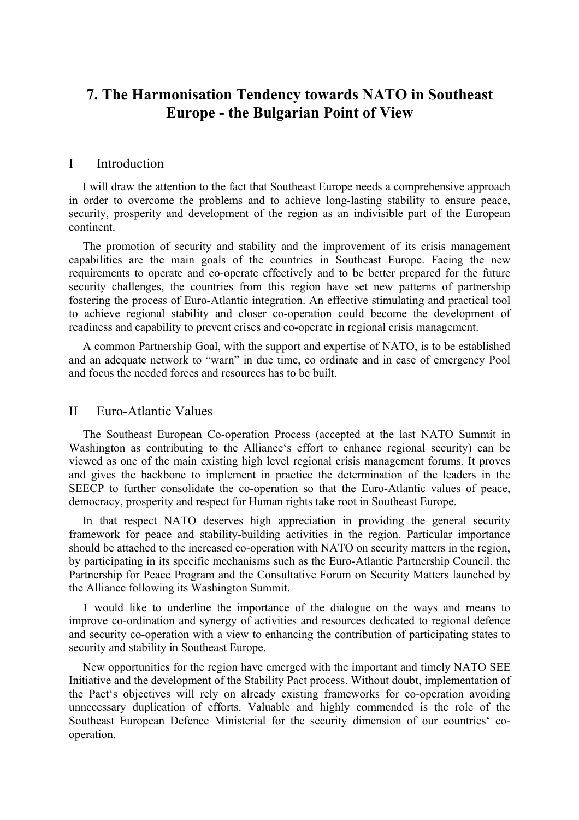# **7. The Harmonisation Tendency towards NATO in Southeast Europe - the Bulgarian Point of View**

### I Introduction

I will draw the attention to the fact that Southeast Europe needs a comprehensive approach in order to overcome the problems and to achieve long-lasting stability to ensure peace, security, prosperity and development of the region as an indivisible part of the European continent.

The promotion of security and stability and the improvement of its crisis management capabilities are the main goals of the countries in Southeast Europe. Facing the new requirements to operate and co-operate effectively and to be better prepared for the future security challenges, the countries from this region have set new patterns of partnership fostering the process of Euro-Atlantic integration. An effective stimulating and practical tool to achieve regional stability and closer co-operation could become the development of readiness and capability to prevent crises and co-operate in regional crisis management.

A common Partnership Goal, with the support and expertise of NATO, is to be established and an adequate network to "warn" in due time, co ordinate and in case of emergency Pool and focus the needed forces and resources has to be built.

### II Euro-Atlantic Values

The Southeast European Co-operation Process (accepted at the last NATO Summit in Washington as contributing to the Alliance's effort to enhance regional security) can be viewed as one of the main existing high level regional crisis management forums. It proves and gives the backbone to implement in practice the determination of the leaders in the SEECP to further consolidate the co-operation so that the Euro-Atlantic values of peace, democracy, prosperity and respect for Human rights take root in Southeast Europe.

In that respect NATO deserves high appreciation in providing the general security framework for peace and stability-building activities in the region. Particular importance should be attached to the increased co-operation with NATO on security matters in the region, by participating in its specific mechanisms such as the Euro-Atlantic Partnership Council. the Partnership for Peace Program and the Consultative Forum on Security Matters launched by the Alliance following its Washington Summit.

1 would like to underline the importance of the dialogue on the ways and means to improve co-ordination and synergy of activities and resources dedicated to regional defence and security co-operation with a view to enhancing the contribution of participating states to security and stability in Southeast Europe.

New opportunities for the region have emerged with the important and timely NATO SEE Initiative and the development of the Stability Pact process. Without doubt, implementation of the Pact's objectives will rely on already existing frameworks for co-operation avoiding unnecessary duplication of efforts. Valuable and highly commended is the role of the Southeast European Defence Ministerial for the security dimension of our countries' cooperation.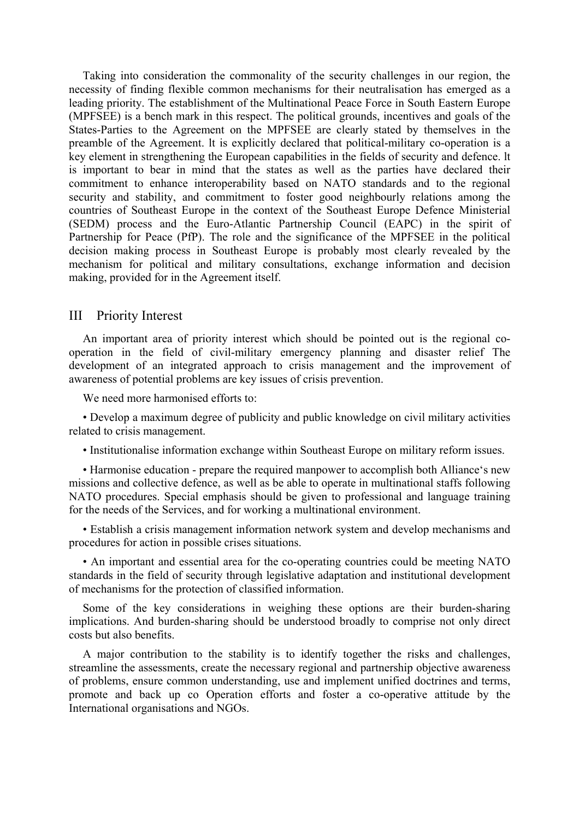Taking into consideration the commonality of the security challenges in our region, the necessity of finding flexible common mechanisms for their neutralisation has emerged as a leading priority. The establishment of the Multinational Peace Force in South Eastern Europe (MPFSEE) is a bench mark in this respect. The political grounds, incentives and goals of the States-Parties to the Agreement on the MPFSEE are clearly stated by themselves in the preamble of the Agreement. lt is explicitly declared that political-military co-operation is a key element in strengthening the European capabilities in the fields of security and defence. lt is important to bear in mind that the states as well as the parties have declared their commitment to enhance interoperability based on NATO standards and to the regional security and stability, and commitment to foster good neighbourly relations among the countries of Southeast Europe in the context of the Southeast Europe Defence Ministerial (SEDM) process and the Euro-Atlantic Partnership Council (EAPC) in the spirit of Partnership for Peace (PfP). The role and the significance of the MPFSEE in the political decision making process in Southeast Europe is probably most clearly revealed by the mechanism for political and military consultations, exchange information and decision making, provided for in the Agreement itself.

## III Priority Interest

An important area of priority interest which should be pointed out is the regional cooperation in the field of civil-military emergency planning and disaster relief The development of an integrated approach to crisis management and the improvement of awareness of potential problems are key issues of crisis prevention.

We need more harmonised efforts to:

• Develop a maximum degree of publicity and public knowledge on civil military activities related to crisis management.

• Institutionalise information exchange within Southeast Europe on military reform issues.

• Harmonise education - prepare the required manpower to accomplish both Alliance's new missions and collective defence, as well as be able to operate in multinational staffs following NATO procedures. Special emphasis should be given to professional and language training for the needs of the Services, and for working a multinational environment.

• Establish a crisis management information network system and develop mechanisms and procedures for action in possible crises situations.

• An important and essential area for the co-operating countries could be meeting NATO standards in the field of security through legislative adaptation and institutional development of mechanisms for the protection of classified information.

Some of the key considerations in weighing these options are their burden-sharing implications. And burden-sharing should be understood broadly to comprise not only direct costs but also benefits.

A major contribution to the stability is to identify together the risks and challenges, streamline the assessments, create the necessary regional and partnership objective awareness of problems, ensure common understanding, use and implement unified doctrines and terms, promote and back up co Operation efforts and foster a co-operative attitude by the International organisations and NGOs.